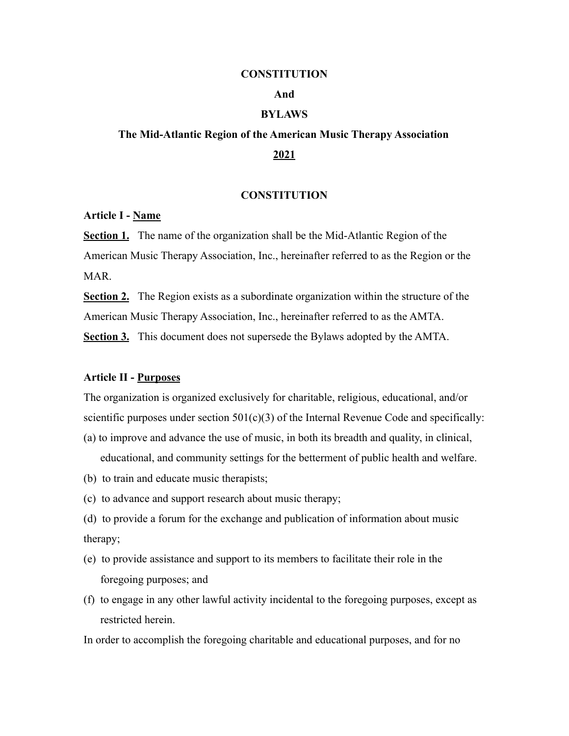#### **CONSTITUTION**

# **And**

# **BYLAWS**

# **The Mid-Atlantic Region of the American Music Therapy Association 2021**

# **CONSTITUTION**

# **Article I - Name**

**Section 1.** The name of the organization shall be the Mid-Atlantic Region of the American Music Therapy Association, Inc., hereinafter referred to as the Region or the MAR.

**Section 2.** The Region exists as a subordinate organization within the structure of the American Music Therapy Association, Inc., hereinafter referred to as the AMTA. **Section 3.** This document does not supersede the Bylaws adopted by the AMTA.

#### **Article II - Purposes**

The organization is organized exclusively for charitable, religious, educational, and/or scientific purposes under section  $501(c)(3)$  of the Internal Revenue Code and specifically:

- (a) to improve and advance the use of music, in both its breadth and quality, in clinical, educational, and community settings for the betterment of public health and welfare.
- (b) to train and educate music therapists;
- (c) to advance and support research about music therapy;
- (d) to provide a forum for the exchange and publication of information about music therapy;
- (e) to provide assistance and support to its members to facilitate their role in the foregoing purposes; and
- (f) to engage in any other lawful activity incidental to the foregoing purposes, except as restricted herein.

In order to accomplish the foregoing charitable and educational purposes, and for no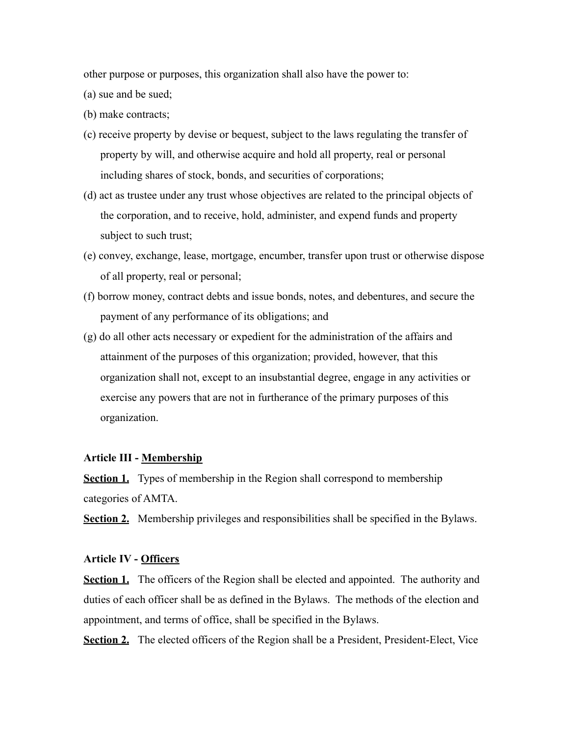other purpose or purposes, this organization shall also have the power to:

(a) sue and be sued;

(b) make contracts;

- (c) receive property by devise or bequest, subject to the laws regulating the transfer of property by will, and otherwise acquire and hold all property, real or personal including shares of stock, bonds, and securities of corporations;
- (d) act as trustee under any trust whose objectives are related to the principal objects of the corporation, and to receive, hold, administer, and expend funds and property subject to such trust;
- (e) convey, exchange, lease, mortgage, encumber, transfer upon trust or otherwise dispose of all property, real or personal;
- (f) borrow money, contract debts and issue bonds, notes, and debentures, and secure the payment of any performance of its obligations; and
- (g) do all other acts necessary or expedient for the administration of the affairs and attainment of the purposes of this organization; provided, however, that this organization shall not, except to an insubstantial degree, engage in any activities or exercise any powers that are not in furtherance of the primary purposes of this organization.

# **Article III - Membership**

**Section 1.** Types of membership in the Region shall correspond to membership categories of AMTA.

**Section 2.** Membership privileges and responsibilities shall be specified in the Bylaws.

# **Article IV - Officers**

**Section 1.** The officers of the Region shall be elected and appointed. The authority and duties of each officer shall be as defined in the Bylaws. The methods of the election and appointment, and terms of office, shall be specified in the Bylaws.

**Section 2.** The elected officers of the Region shall be a President, President-Elect, Vice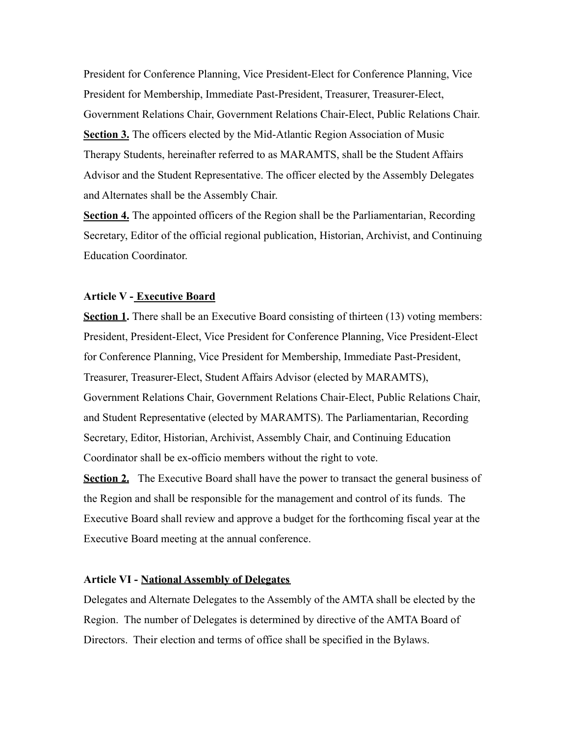President for Conference Planning, Vice President-Elect for Conference Planning, Vice President for Membership, Immediate Past-President, Treasurer, Treasurer-Elect, Government Relations Chair, Government Relations Chair-Elect, Public Relations Chair. **Section 3.** The officers elected by the Mid-Atlantic Region Association of Music Therapy Students, hereinafter referred to as MARAMTS, shall be the Student Affairs Advisor and the Student Representative. The officer elected by the Assembly Delegates and Alternates shall be the Assembly Chair.

**Section 4.** The appointed officers of the Region shall be the Parliamentarian, Recording Secretary, Editor of the official regional publication, Historian, Archivist, and Continuing Education Coordinator.

# **Article V - Executive Board**

**Section 1.** There shall be an Executive Board consisting of thirteen (13) voting members: President, President-Elect, Vice President for Conference Planning, Vice President-Elect for Conference Planning, Vice President for Membership, Immediate Past-President, Treasurer, Treasurer-Elect, Student Affairs Advisor (elected by MARAMTS), Government Relations Chair, Government Relations Chair-Elect, Public Relations Chair, and Student Representative (elected by MARAMTS). The Parliamentarian, Recording Secretary, Editor, Historian, Archivist, Assembly Chair, and Continuing Education Coordinator shall be ex-officio members without the right to vote.

**Section 2.** The Executive Board shall have the power to transact the general business of the Region and shall be responsible for the management and control of its funds. The Executive Board shall review and approve a budget for the forthcoming fiscal year at the Executive Board meeting at the annual conference.

# **Article VI - National Assembly of Delegates**

Delegates and Alternate Delegates to the Assembly of the AMTA shall be elected by the Region. The number of Delegates is determined by directive of the AMTA Board of Directors. Their election and terms of office shall be specified in the Bylaws.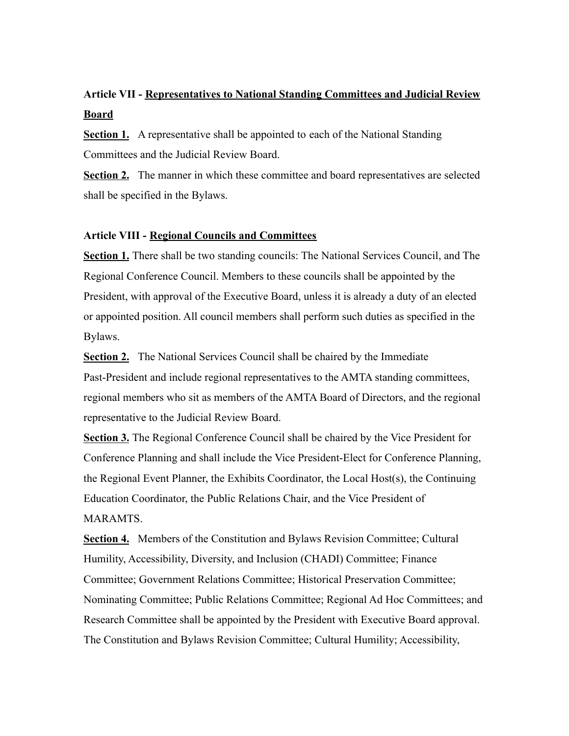# **Article VII - Representatives to National Standing Committees and Judicial Review Board**

**Section 1.** A representative shall be appointed to each of the National Standing Committees and the Judicial Review Board.

**Section 2.** The manner in which these committee and board representatives are selected shall be specified in the Bylaws.

# **Article VIII - Regional Councils and Committees**

**Section 1.** There shall be two standing councils: The National Services Council, and The Regional Conference Council. Members to these councils shall be appointed by the President, with approval of the Executive Board, unless it is already a duty of an elected or appointed position. All council members shall perform such duties as specified in the Bylaws.

**Section 2.** The National Services Council shall be chaired by the Immediate Past-President and include regional representatives to the AMTA standing committees, regional members who sit as members of the AMTA Board of Directors, and the regional representative to the Judicial Review Board.

**Section 3.** The Regional Conference Council shall be chaired by the Vice President for Conference Planning and shall include the Vice President-Elect for Conference Planning, the Regional Event Planner, the Exhibits Coordinator, the Local Host(s), the Continuing Education Coordinator, the Public Relations Chair, and the Vice President of MARAMTS.

**Section 4.** Members of the Constitution and Bylaws Revision Committee; Cultural Humility, Accessibility, Diversity, and Inclusion (CHADI) Committee; Finance Committee; Government Relations Committee; Historical Preservation Committee; Nominating Committee; Public Relations Committee; Regional Ad Hoc Committees; and Research Committee shall be appointed by the President with Executive Board approval. The Constitution and Bylaws Revision Committee; Cultural Humility; Accessibility,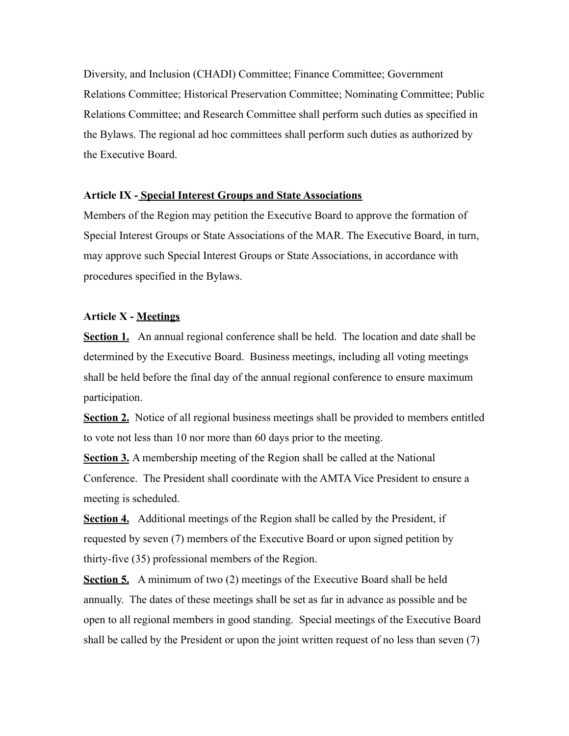Diversity, and Inclusion (CHADI) Committee; Finance Committee; Government Relations Committee; Historical Preservation Committee; Nominating Committee; Public Relations Committee; and Research Committee shall perform such duties as specified in the Bylaws. The regional ad hoc committees shall perform such duties as authorized by the Executive Board.

## **Article IX - Special Interest Groups and State Associations**

Members of the Region may petition the Executive Board to approve the formation of Special Interest Groups or State Associations of the MAR. The Executive Board, in turn, may approve such Special Interest Groups or State Associations, in accordance with procedures specified in the Bylaws.

# **Article X - Meetings**

**Section 1.** An annual regional conference shall be held. The location and date shall be determined by the Executive Board. Business meetings, including all voting meetings shall be held before the final day of the annual regional conference to ensure maximum participation.

**Section 2.** Notice of all regional business meetings shall be provided to members entitled to vote not less than 10 nor more than 60 days prior to the meeting.

**Section 3.** A membership meeting of the Region shall be called at the National Conference. The President shall coordinate with the AMTA Vice President to ensure a meeting is scheduled.

**Section 4.** Additional meetings of the Region shall be called by the President, if requested by seven (7) members of the Executive Board or upon signed petition by thirty-five (35) professional members of the Region.

**Section 5.** A minimum of two (2) meetings of the Executive Board shall be held annually. The dates of these meetings shall be set as far in advance as possible and be open to all regional members in good standing. Special meetings of the Executive Board shall be called by the President or upon the joint written request of no less than seven (7)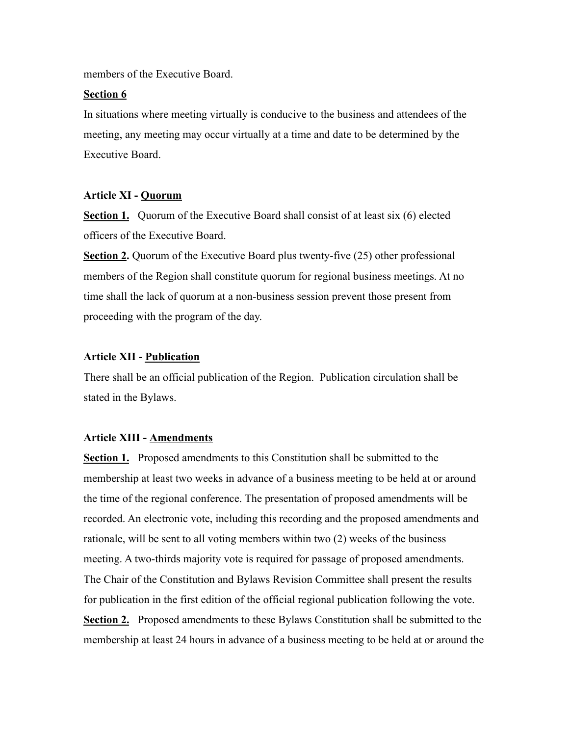members of the Executive Board.

# **Section 6**

In situations where meeting virtually is conducive to the business and attendees of the meeting, any meeting may occur virtually at a time and date to be determined by the Executive Board.

# **Article XI - Quorum**

**Section 1.** Ouorum of the Executive Board shall consist of at least six (6) elected officers of the Executive Board.

**Section 2.** Quorum of the Executive Board plus twenty-five (25) other professional members of the Region shall constitute quorum for regional business meetings. At no time shall the lack of quorum at a non-business session prevent those present from proceeding with the program of the day.

## **Article XII - Publication**

There shall be an official publication of the Region. Publication circulation shall be stated in the Bylaws.

# **Article XIII - Amendments**

**Section 1.** Proposed amendments to this Constitution shall be submitted to the membership at least two weeks in advance of a business meeting to be held at or around the time of the regional conference. The presentation of proposed amendments will be recorded. An electronic vote, including this recording and the proposed amendments and rationale, will be sent to all voting members within two (2) weeks of the business meeting. A two-thirds majority vote is required for passage of proposed amendments. The Chair of the Constitution and Bylaws Revision Committee shall present the results for publication in the first edition of the official regional publication following the vote. **Section 2.** Proposed amendments to these Bylaws Constitution shall be submitted to the membership at least 24 hours in advance of a business meeting to be held at or around the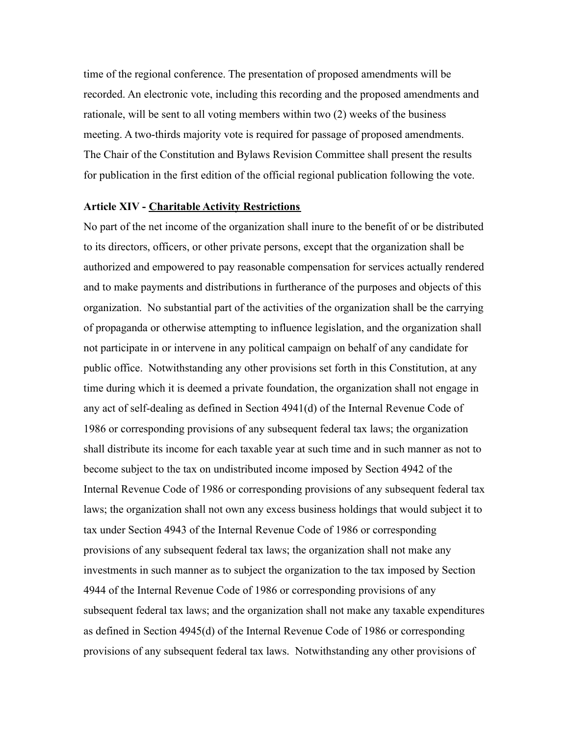time of the regional conference. The presentation of proposed amendments will be recorded. An electronic vote, including this recording and the proposed amendments and rationale, will be sent to all voting members within two (2) weeks of the business meeting. A two-thirds majority vote is required for passage of proposed amendments. The Chair of the Constitution and Bylaws Revision Committee shall present the results for publication in the first edition of the official regional publication following the vote.

#### **Article XIV - Charitable Activity Restrictions**

No part of the net income of the organization shall inure to the benefit of or be distributed to its directors, officers, or other private persons, except that the organization shall be authorized and empowered to pay reasonable compensation for services actually rendered and to make payments and distributions in furtherance of the purposes and objects of this organization. No substantial part of the activities of the organization shall be the carrying of propaganda or otherwise attempting to influence legislation, and the organization shall not participate in or intervene in any political campaign on behalf of any candidate for public office. Notwithstanding any other provisions set forth in this Constitution, at any time during which it is deemed a private foundation, the organization shall not engage in any act of self-dealing as defined in Section 4941(d) of the Internal Revenue Code of 1986 or corresponding provisions of any subsequent federal tax laws; the organization shall distribute its income for each taxable year at such time and in such manner as not to become subject to the tax on undistributed income imposed by Section 4942 of the Internal Revenue Code of 1986 or corresponding provisions of any subsequent federal tax laws; the organization shall not own any excess business holdings that would subject it to tax under Section 4943 of the Internal Revenue Code of 1986 or corresponding provisions of any subsequent federal tax laws; the organization shall not make any investments in such manner as to subject the organization to the tax imposed by Section 4944 of the Internal Revenue Code of 1986 or corresponding provisions of any subsequent federal tax laws; and the organization shall not make any taxable expenditures as defined in Section 4945(d) of the Internal Revenue Code of 1986 or corresponding provisions of any subsequent federal tax laws. Notwithstanding any other provisions of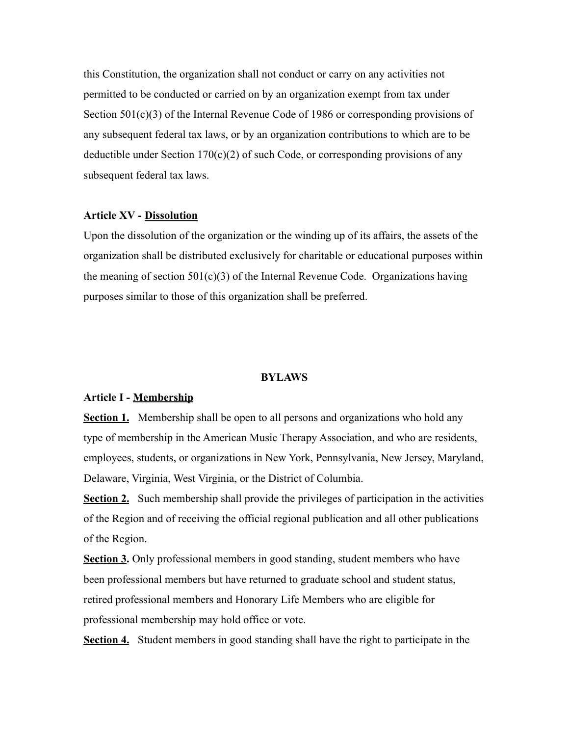this Constitution, the organization shall not conduct or carry on any activities not permitted to be conducted or carried on by an organization exempt from tax under Section 501(c)(3) of the Internal Revenue Code of 1986 or corresponding provisions of any subsequent federal tax laws, or by an organization contributions to which are to be deductible under Section 170(c)(2) of such Code, or corresponding provisions of any subsequent federal tax laws.

# **Article XV - Dissolution**

Upon the dissolution of the organization or the winding up of its affairs, the assets of the organization shall be distributed exclusively for charitable or educational purposes within the meaning of section  $501(c)(3)$  of the Internal Revenue Code. Organizations having purposes similar to those of this organization shall be preferred.

#### **BYLAWS**

#### **Article I - Membership**

**Section 1.** Membership shall be open to all persons and organizations who hold any type of membership in the American Music Therapy Association, and who are residents, employees, students, or organizations in New York, Pennsylvania, New Jersey, Maryland, Delaware, Virginia, West Virginia, or the District of Columbia.

**Section 2.** Such membership shall provide the privileges of participation in the activities of the Region and of receiving the official regional publication and all other publications of the Region.

**Section 3.** Only professional members in good standing, student members who have been professional members but have returned to graduate school and student status, retired professional members and Honorary Life Members who are eligible for professional membership may hold office or vote.

**Section 4.** Student members in good standing shall have the right to participate in the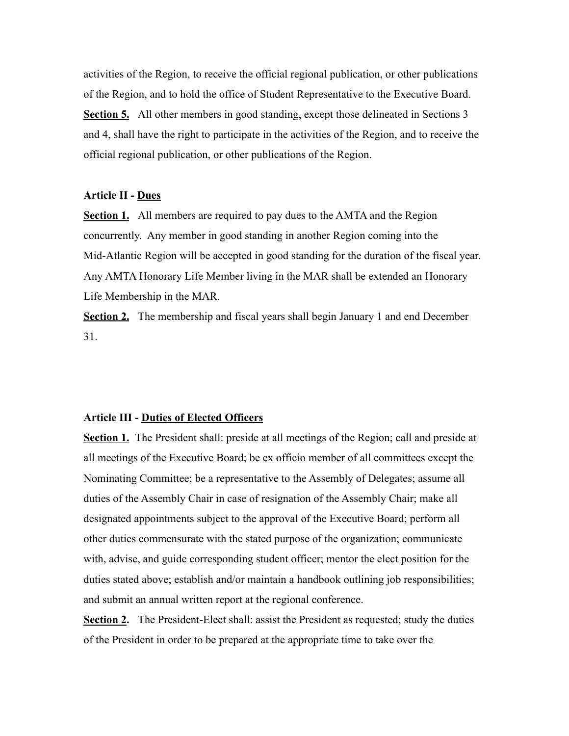activities of the Region, to receive the official regional publication, or other publications of the Region, and to hold the office of Student Representative to the Executive Board. **Section 5.** All other members in good standing, except those delineated in Sections 3 and 4, shall have the right to participate in the activities of the Region, and to receive the official regional publication, or other publications of the Region.

# **Article II - Dues**

**Section 1.** All members are required to pay dues to the AMTA and the Region concurrently. Any member in good standing in another Region coming into the Mid-Atlantic Region will be accepted in good standing for the duration of the fiscal year. Any AMTA Honorary Life Member living in the MAR shall be extended an Honorary Life Membership in the MAR.

**Section 2.** The membership and fiscal years shall begin January 1 and end December 31.

## **Article III - Duties of Elected Officers**

**Section 1.** The President shall: preside at all meetings of the Region; call and preside at all meetings of the Executive Board; be ex officio member of all committees except the Nominating Committee; be a representative to the Assembly of Delegates; assume all duties of the Assembly Chair in case of resignation of the Assembly Chair; make all designated appointments subject to the approval of the Executive Board; perform all other duties commensurate with the stated purpose of the organization; communicate with, advise, and guide corresponding student officer; mentor the elect position for the duties stated above; establish and/or maintain a handbook outlining job responsibilities; and submit an annual written report at the regional conference.

**Section 2.** The President-Elect shall: assist the President as requested; study the duties of the President in order to be prepared at the appropriate time to take over the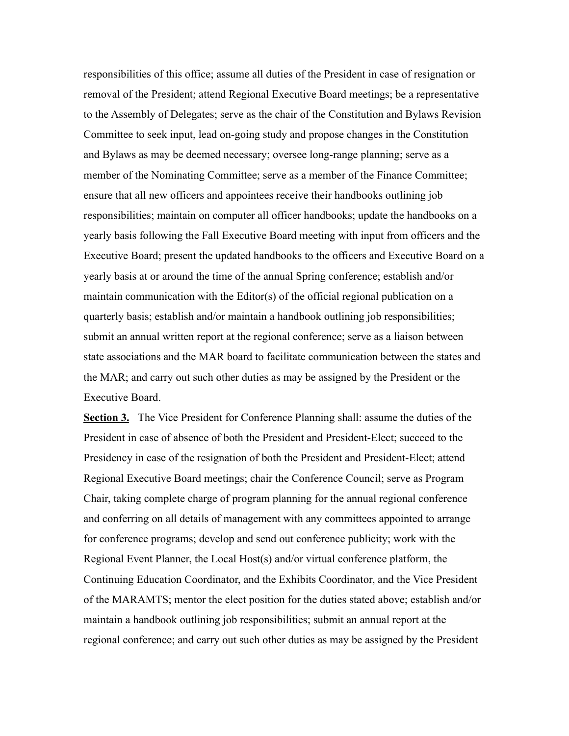responsibilities of this office; assume all duties of the President in case of resignation or removal of the President; attend Regional Executive Board meetings; be a representative to the Assembly of Delegates; serve as the chair of the Constitution and Bylaws Revision Committee to seek input, lead on-going study and propose changes in the Constitution and Bylaws as may be deemed necessary; oversee long-range planning; serve as a member of the Nominating Committee; serve as a member of the Finance Committee; ensure that all new officers and appointees receive their handbooks outlining job responsibilities; maintain on computer all officer handbooks; update the handbooks on a yearly basis following the Fall Executive Board meeting with input from officers and the Executive Board; present the updated handbooks to the officers and Executive Board on a yearly basis at or around the time of the annual Spring conference; establish and/or maintain communication with the Editor(s) of the official regional publication on a quarterly basis; establish and/or maintain a handbook outlining job responsibilities; submit an annual written report at the regional conference; serve as a liaison between state associations and the MAR board to facilitate communication between the states and the MAR; and carry out such other duties as may be assigned by the President or the Executive Board.

**Section 3.** The Vice President for Conference Planning shall: assume the duties of the President in case of absence of both the President and President-Elect; succeed to the Presidency in case of the resignation of both the President and President-Elect; attend Regional Executive Board meetings; chair the Conference Council; serve as Program Chair, taking complete charge of program planning for the annual regional conference and conferring on all details of management with any committees appointed to arrange for conference programs; develop and send out conference publicity; work with the Regional Event Planner, the Local Host(s) and/or virtual conference platform, the Continuing Education Coordinator, and the Exhibits Coordinator, and the Vice President of the MARAMTS; mentor the elect position for the duties stated above; establish and/or maintain a handbook outlining job responsibilities; submit an annual report at the regional conference; and carry out such other duties as may be assigned by the President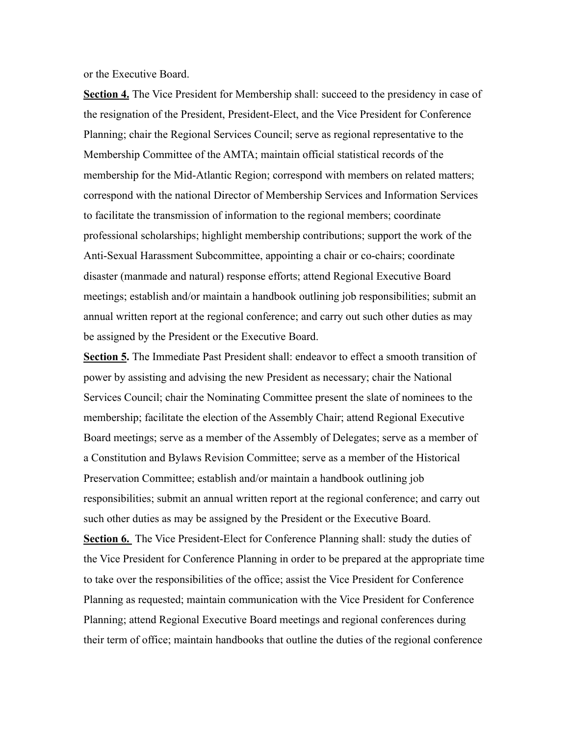or the Executive Board.

**Section 4.** The Vice President for Membership shall: succeed to the presidency in case of the resignation of the President, President-Elect, and the Vice President for Conference Planning; chair the Regional Services Council; serve as regional representative to the Membership Committee of the AMTA; maintain official statistical records of the membership for the Mid-Atlantic Region; correspond with members on related matters; correspond with the national Director of Membership Services and Information Services to facilitate the transmission of information to the regional members; coordinate professional scholarships; highlight membership contributions; support the work of the Anti-Sexual Harassment Subcommittee, appointing a chair or co-chairs; coordinate disaster (manmade and natural) response efforts; attend Regional Executive Board meetings; establish and/or maintain a handbook outlining job responsibilities; submit an annual written report at the regional conference; and carry out such other duties as may be assigned by the President or the Executive Board.

Section 5. The Immediate Past President shall: endeavor to effect a smooth transition of power by assisting and advising the new President as necessary; chair the National Services Council; chair the Nominating Committee present the slate of nominees to the membership; facilitate the election of the Assembly Chair; attend Regional Executive Board meetings; serve as a member of the Assembly of Delegates; serve as a member of a Constitution and Bylaws Revision Committee; serve as a member of the Historical Preservation Committee; establish and/or maintain a handbook outlining job responsibilities; submit an annual written report at the regional conference; and carry out such other duties as may be assigned by the President or the Executive Board. **Section 6.** The Vice President-Elect for Conference Planning shall: study the duties of the Vice President for Conference Planning in order to be prepared at the appropriate time to take over the responsibilities of the office; assist the Vice President for Conference Planning as requested; maintain communication with the Vice President for Conference Planning; attend Regional Executive Board meetings and regional conferences during their term of office; maintain handbooks that outline the duties of the regional conference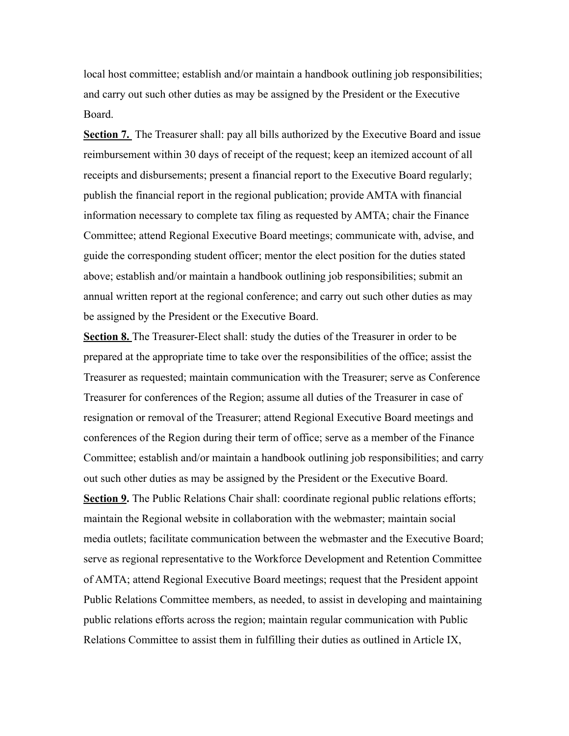local host committee; establish and/or maintain a handbook outlining job responsibilities; and carry out such other duties as may be assigned by the President or the Executive Board.

**Section 7.** The Treasurer shall: pay all bills authorized by the Executive Board and issue reimbursement within 30 days of receipt of the request; keep an itemized account of all receipts and disbursements; present a financial report to the Executive Board regularly; publish the financial report in the regional publication; provide AMTA with financial information necessary to complete tax filing as requested by AMTA; chair the Finance Committee; attend Regional Executive Board meetings; communicate with, advise, and guide the corresponding student officer; mentor the elect position for the duties stated above; establish and/or maintain a handbook outlining job responsibilities; submit an annual written report at the regional conference; and carry out such other duties as may be assigned by the President or the Executive Board.

**Section 8.** The Treasurer-Elect shall: study the duties of the Treasurer in order to be prepared at the appropriate time to take over the responsibilities of the office; assist the Treasurer as requested; maintain communication with the Treasurer; serve as Conference Treasurer for conferences of the Region; assume all duties of the Treasurer in case of resignation or removal of the Treasurer; attend Regional Executive Board meetings and conferences of the Region during their term of office; serve as a member of the Finance Committee; establish and/or maintain a handbook outlining job responsibilities; and carry out such other duties as may be assigned by the President or the Executive Board. **Section 9.** The Public Relations Chair shall: coordinate regional public relations efforts; maintain the Regional website in collaboration with the webmaster; maintain social media outlets; facilitate communication between the webmaster and the Executive Board; serve as regional representative to the Workforce Development and Retention Committee of AMTA; attend Regional Executive Board meetings; request that the President appoint Public Relations Committee members, as needed, to assist in developing and maintaining public relations efforts across the region; maintain regular communication with Public Relations Committee to assist them in fulfilling their duties as outlined in Article IX,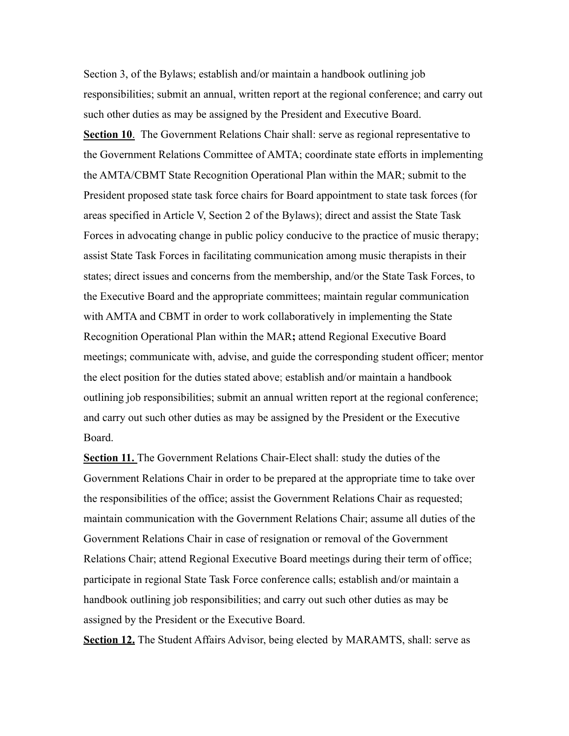Section 3, of the Bylaws; establish and/or maintain a handbook outlining job responsibilities; submit an annual, written report at the regional conference; and carry out such other duties as may be assigned by the President and Executive Board. **Section 10**. The Government Relations Chair shall: serve as regional representative to the Government Relations Committee of AMTA; coordinate state efforts in implementing the AMTA/CBMT State Recognition Operational Plan within the MAR; submit to the President proposed state task force chairs for Board appointment to state task forces (for areas specified in Article V, Section 2 of the Bylaws); direct and assist the State Task Forces in advocating change in public policy conducive to the practice of music therapy; assist State Task Forces in facilitating communication among music therapists in their states; direct issues and concerns from the membership, and/or the State Task Forces, to the Executive Board and the appropriate committees; maintain regular communication with AMTA and CBMT in order to work collaboratively in implementing the State Recognition Operational Plan within the MAR**;** attend Regional Executive Board meetings; communicate with, advise, and guide the corresponding student officer; mentor the elect position for the duties stated above; establish and/or maintain a handbook outlining job responsibilities; submit an annual written report at the regional conference; and carry out such other duties as may be assigned by the President or the Executive Board.

**Section 11.** The Government Relations Chair-Elect shall: study the duties of the Government Relations Chair in order to be prepared at the appropriate time to take over the responsibilities of the office; assist the Government Relations Chair as requested; maintain communication with the Government Relations Chair; assume all duties of the Government Relations Chair in case of resignation or removal of the Government Relations Chair; attend Regional Executive Board meetings during their term of office; participate in regional State Task Force conference calls; establish and/or maintain a handbook outlining job responsibilities; and carry out such other duties as may be assigned by the President or the Executive Board.

**Section 12.** The Student Affairs Advisor, being elected by MARAMTS, shall: serve as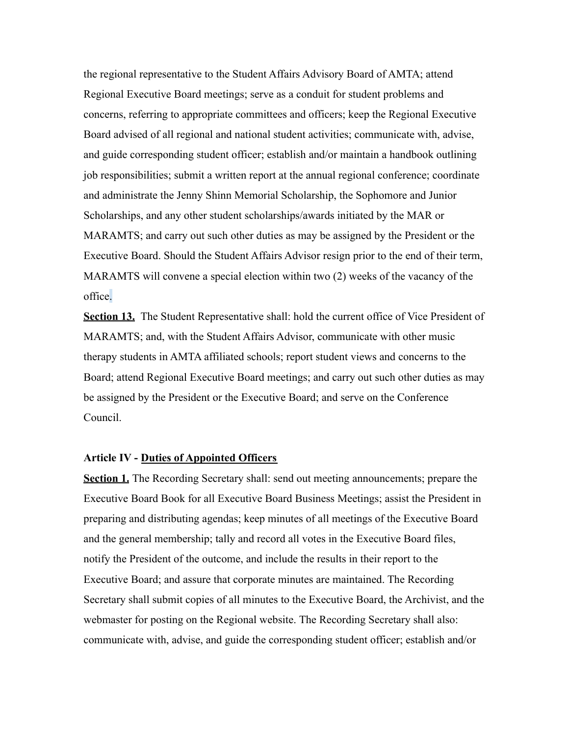the regional representative to the Student Affairs Advisory Board of AMTA; attend Regional Executive Board meetings; serve as a conduit for student problems and concerns, referring to appropriate committees and officers; keep the Regional Executive Board advised of all regional and national student activities; communicate with, advise, and guide corresponding student officer; establish and/or maintain a handbook outlining job responsibilities; submit a written report at the annual regional conference; coordinate and administrate the Jenny Shinn Memorial Scholarship, the Sophomore and Junior Scholarships, and any other student scholarships/awards initiated by the MAR or MARAMTS; and carry out such other duties as may be assigned by the President or the Executive Board. Should the Student Affairs Advisor resign prior to the end of their term, MARAMTS will convene a special election within two (2) weeks of the vacancy of the office.

**Section 13.** The Student Representative shall: hold the current office of Vice President of MARAMTS; and, with the Student Affairs Advisor, communicate with other music therapy students in AMTA affiliated schools; report student views and concerns to the Board; attend Regional Executive Board meetings; and carry out such other duties as may be assigned by the President or the Executive Board; and serve on the Conference Council.

#### **Article IV - Duties of Appointed Officers**

**Section 1.** The Recording Secretary shall: send out meeting announcements; prepare the Executive Board Book for all Executive Board Business Meetings; assist the President in preparing and distributing agendas; keep minutes of all meetings of the Executive Board and the general membership; tally and record all votes in the Executive Board files, notify the President of the outcome, and include the results in their report to the Executive Board; and assure that corporate minutes are maintained. The Recording Secretary shall submit copies of all minutes to the Executive Board, the Archivist, and the webmaster for posting on the Regional website. The Recording Secretary shall also: communicate with, advise, and guide the corresponding student officer; establish and/or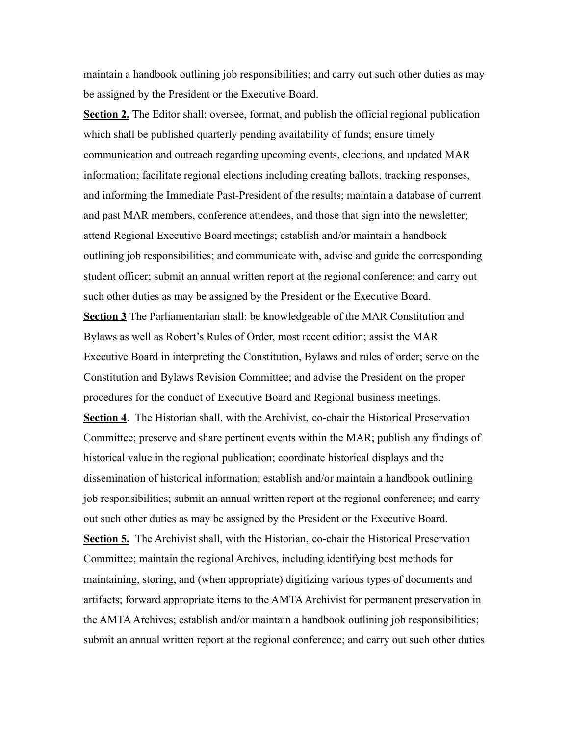maintain a handbook outlining job responsibilities; and carry out such other duties as may be assigned by the President or the Executive Board.

**Section 2.** The Editor shall: oversee, format, and publish the official regional publication which shall be published quarterly pending availability of funds; ensure timely communication and outreach regarding upcoming events, elections, and updated MAR information; facilitate regional elections including creating ballots, tracking responses, and informing the Immediate Past-President of the results; maintain a database of current and past MAR members, conference attendees, and those that sign into the newsletter; attend Regional Executive Board meetings; establish and/or maintain a handbook outlining job responsibilities; and communicate with, advise and guide the corresponding student officer; submit an annual written report at the regional conference; and carry out such other duties as may be assigned by the President or the Executive Board. **Section 3** The Parliamentarian shall: be knowledgeable of the MAR Constitution and Bylaws as well as Robert's Rules of Order, most recent edition; assist the MAR Executive Board in interpreting the Constitution, Bylaws and rules of order; serve on the Constitution and Bylaws Revision Committee; and advise the President on the proper procedures for the conduct of Executive Board and Regional business meetings. **Section 4.** The Historian shall, with the Archivist, co-chair the Historical Preservation Committee; preserve and share pertinent events within the MAR; publish any findings of historical value in the regional publication; coordinate historical displays and the dissemination of historical information; establish and/or maintain a handbook outlining job responsibilities; submit an annual written report at the regional conference; and carry out such other duties as may be assigned by the President or the Executive Board. **Section 5.** The Archivist shall, with the Historian, co-chair the Historical Preservation Committee; maintain the regional Archives, including identifying best methods for maintaining, storing, and (when appropriate) digitizing various types of documents and artifacts; forward appropriate items to the AMTA Archivist for permanent preservation in the AMTA Archives; establish and/or maintain a handbook outlining job responsibilities; submit an annual written report at the regional conference; and carry out such other duties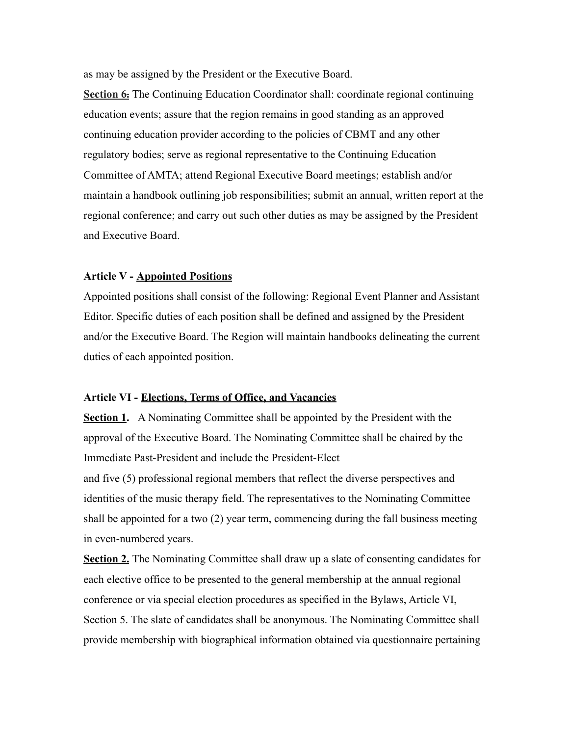as may be assigned by the President or the Executive Board.

**Section 6.** The Continuing Education Coordinator shall: coordinate regional continuing education events; assure that the region remains in good standing as an approved continuing education provider according to the policies of CBMT and any other regulatory bodies; serve as regional representative to the Continuing Education Committee of AMTA; attend Regional Executive Board meetings; establish and/or maintain a handbook outlining job responsibilities; submit an annual, written report at the regional conference; and carry out such other duties as may be assigned by the President and Executive Board.

## **Article V - Appointed Positions**

Appointed positions shall consist of the following: Regional Event Planner and Assistant Editor. Specific duties of each position shall be defined and assigned by the President and/or the Executive Board. The Region will maintain handbooks delineating the current duties of each appointed position.

# **Article VI - Elections, Terms of Office, and Vacancies**

**Section 1.** A Nominating Committee shall be appointed by the President with the approval of the Executive Board. The Nominating Committee shall be chaired by the Immediate Past-President and include the President-Elect

and five (5) professional regional members that reflect the diverse perspectives and identities of the music therapy field. The representatives to the Nominating Committee shall be appointed for a two (2) year term, commencing during the fall business meeting in even-numbered years.

**Section 2.** The Nominating Committee shall draw up a slate of consenting candidates for each elective office to be presented to the general membership at the annual regional conference or via special election procedures as specified in the Bylaws, Article VI, Section 5. The slate of candidates shall be anonymous. The Nominating Committee shall provide membership with biographical information obtained via questionnaire pertaining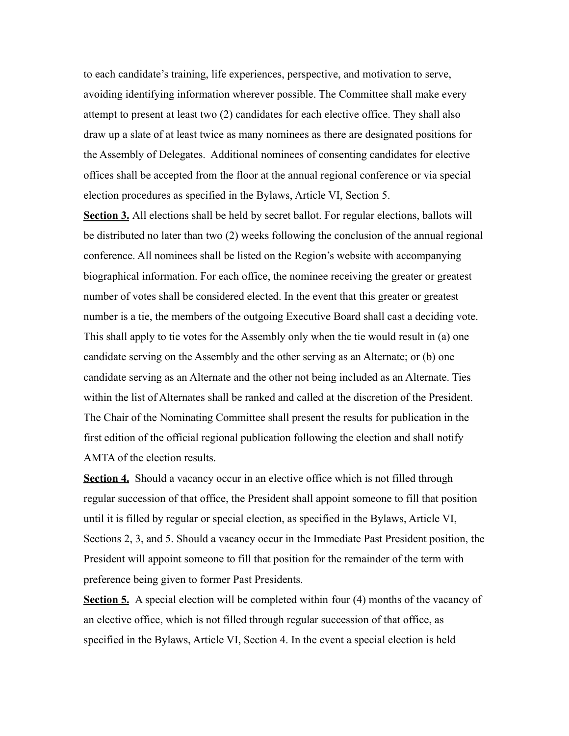to each candidate's training, life experiences, perspective, and motivation to serve, avoiding identifying information wherever possible. The Committee shall make every attempt to present at least two (2) candidates for each elective office. They shall also draw up a slate of at least twice as many nominees as there are designated positions for the Assembly of Delegates. Additional nominees of consenting candidates for elective offices shall be accepted from the floor at the annual regional conference or via special election procedures as specified in the Bylaws, Article VI, Section 5.

**Section 3.** All elections shall be held by secret ballot. For regular elections, ballots will be distributed no later than two (2) weeks following the conclusion of the annual regional conference. All nominees shall be listed on the Region's website with accompanying biographical information. For each office, the nominee receiving the greater or greatest number of votes shall be considered elected. In the event that this greater or greatest number is a tie, the members of the outgoing Executive Board shall cast a deciding vote. This shall apply to tie votes for the Assembly only when the tie would result in (a) one candidate serving on the Assembly and the other serving as an Alternate; or (b) one candidate serving as an Alternate and the other not being included as an Alternate. Ties within the list of Alternates shall be ranked and called at the discretion of the President. The Chair of the Nominating Committee shall present the results for publication in the first edition of the official regional publication following the election and shall notify AMTA of the election results.

**Section 4.** Should a vacancy occur in an elective office which is not filled through regular succession of that office, the President shall appoint someone to fill that position until it is filled by regular or special election, as specified in the Bylaws, Article VI, Sections 2, 3, and 5. Should a vacancy occur in the Immediate Past President position, the President will appoint someone to fill that position for the remainder of the term with preference being given to former Past Presidents.

**Section 5.** A special election will be completed within four (4) months of the vacancy of an elective office, which is not filled through regular succession of that office, as specified in the Bylaws, Article VI, Section 4. In the event a special election is held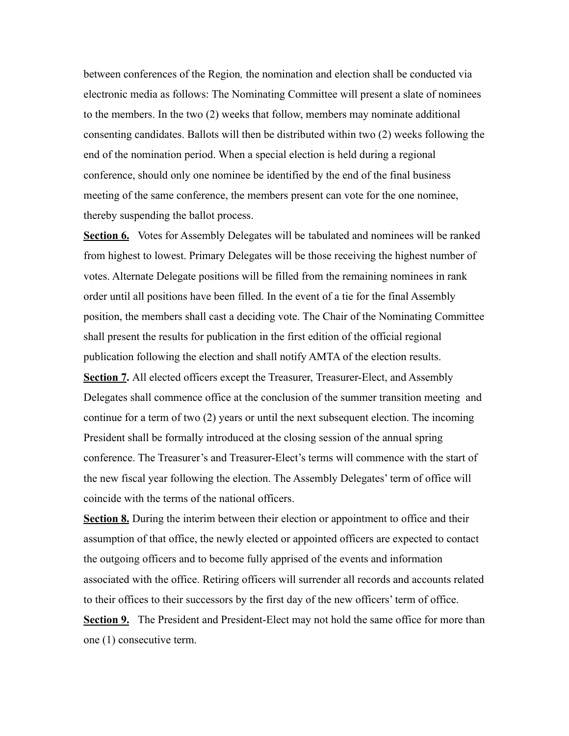between conferences of the Region*,* the nomination and election shall be conducted via electronic media as follows: The Nominating Committee will present a slate of nominees to the members. In the two (2) weeks that follow, members may nominate additional consenting candidates. Ballots will then be distributed within two (2) weeks following the end of the nomination period. When a special election is held during a regional conference, should only one nominee be identified by the end of the final business meeting of the same conference, the members present can vote for the one nominee, thereby suspending the ballot process.

**Section 6.** Votes for Assembly Delegates will be tabulated and nominees will be ranked from highest to lowest. Primary Delegates will be those receiving the highest number of votes. Alternate Delegate positions will be filled from the remaining nominees in rank order until all positions have been filled. In the event of a tie for the final Assembly position, the members shall cast a deciding vote. The Chair of the Nominating Committee shall present the results for publication in the first edition of the official regional publication following the election and shall notify AMTA of the election results. **Section 7.** All elected officers except the Treasurer, Treasurer-Elect, and Assembly Delegates shall commence office at the conclusion of the summer transition meeting and continue for a term of two (2) years or until the next subsequent election. The incoming President shall be formally introduced at the closing session of the annual spring conference. The Treasurer's and Treasurer-Elect's terms will commence with the start of the new fiscal year following the election. The Assembly Delegates' term of office will coincide with the terms of the national officers.

**Section 8.** During the interim between their election or appointment to office and their assumption of that office, the newly elected or appointed officers are expected to contact the outgoing officers and to become fully apprised of the events and information associated with the office. Retiring officers will surrender all records and accounts related to their offices to their successors by the first day of the new officers' term of office.

**Section 9.** The President and President-Elect may not hold the same office for more than one (1) consecutive term.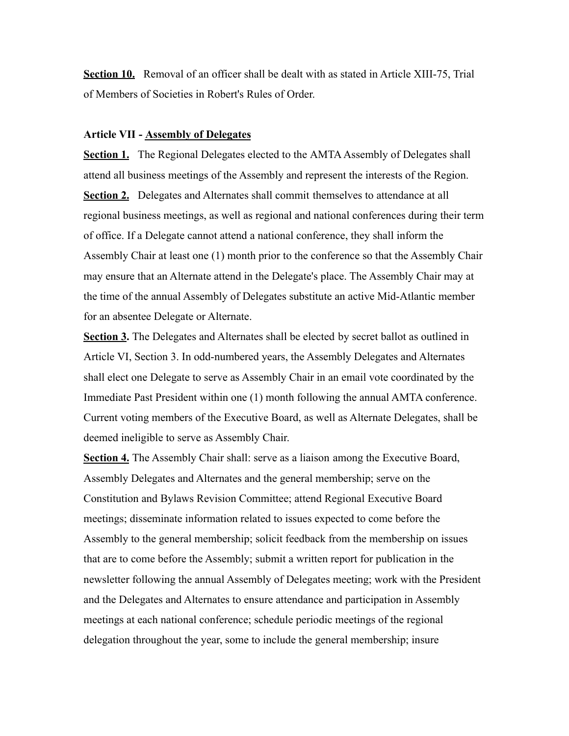**Section 10.** Removal of an officer shall be dealt with as stated in Article XIII-75, Trial of Members of Societies in Robert's Rules of Order.

# **Article VII - Assembly of Delegates**

**Section 1.** The Regional Delegates elected to the AMTA Assembly of Delegates shall attend all business meetings of the Assembly and represent the interests of the Region. **Section 2.** Delegates and Alternates shall commit themselves to attendance at all regional business meetings, as well as regional and national conferences during their term of office. If a Delegate cannot attend a national conference, they shall inform the Assembly Chair at least one (1) month prior to the conference so that the Assembly Chair may ensure that an Alternate attend in the Delegate's place. The Assembly Chair may at the time of the annual Assembly of Delegates substitute an active Mid-Atlantic member for an absentee Delegate or Alternate.

**Section 3.** The Delegates and Alternates shall be elected by secret ballot as outlined in Article VI, Section 3. In odd-numbered years, the Assembly Delegates and Alternates shall elect one Delegate to serve as Assembly Chair in an email vote coordinated by the Immediate Past President within one (1) month following the annual AMTA conference. Current voting members of the Executive Board, as well as Alternate Delegates, shall be deemed ineligible to serve as Assembly Chair.

**Section 4.** The Assembly Chair shall: serve as a liaison among the Executive Board, Assembly Delegates and Alternates and the general membership; serve on the Constitution and Bylaws Revision Committee; attend Regional Executive Board meetings; disseminate information related to issues expected to come before the Assembly to the general membership; solicit feedback from the membership on issues that are to come before the Assembly; submit a written report for publication in the newsletter following the annual Assembly of Delegates meeting; work with the President and the Delegates and Alternates to ensure attendance and participation in Assembly meetings at each national conference; schedule periodic meetings of the regional delegation throughout the year, some to include the general membership; insure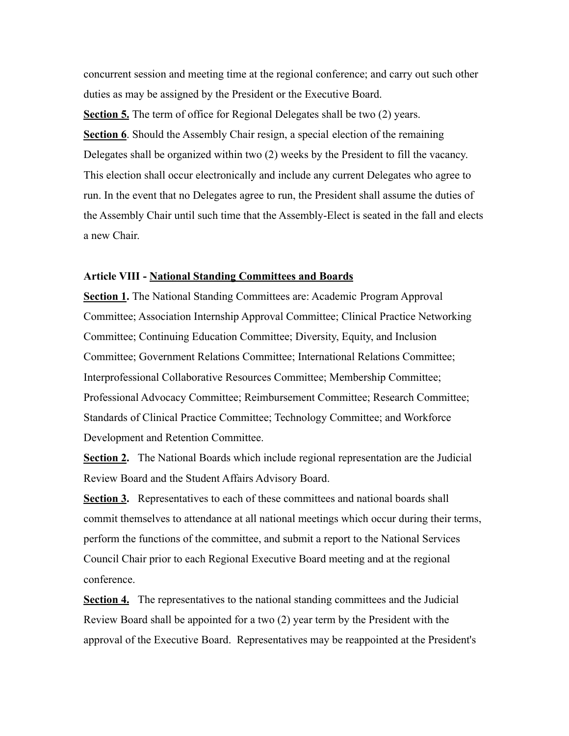concurrent session and meeting time at the regional conference; and carry out such other duties as may be assigned by the President or the Executive Board.

**Section 5.** The term of office for Regional Delegates shall be two (2) years. **Section 6**. Should the Assembly Chair resign, a special election of the remaining Delegates shall be organized within two (2) weeks by the President to fill the vacancy. This election shall occur electronically and include any current Delegates who agree to run. In the event that no Delegates agree to run, the President shall assume the duties of the Assembly Chair until such time that the Assembly-Elect is seated in the fall and elects a new Chair.

#### **Article VIII - National Standing Committees and Boards**

**Section 1.** The National Standing Committees are: Academic Program Approval Committee; Association Internship Approval Committee; Clinical Practice Networking Committee; Continuing Education Committee; Diversity, Equity, and Inclusion Committee; Government Relations Committee; International Relations Committee; Interprofessional Collaborative Resources Committee; Membership Committee; Professional Advocacy Committee; Reimbursement Committee; Research Committee; Standards of Clinical Practice Committee; Technology Committee; and Workforce Development and Retention Committee.

**Section 2.** The National Boards which include regional representation are the Judicial Review Board and the Student Affairs Advisory Board.

**Section 3.** Representatives to each of these committees and national boards shall commit themselves to attendance at all national meetings which occur during their terms, perform the functions of the committee, and submit a report to the National Services Council Chair prior to each Regional Executive Board meeting and at the regional conference.

**Section 4.** The representatives to the national standing committees and the Judicial Review Board shall be appointed for a two (2) year term by the President with the approval of the Executive Board. Representatives may be reappointed at the President's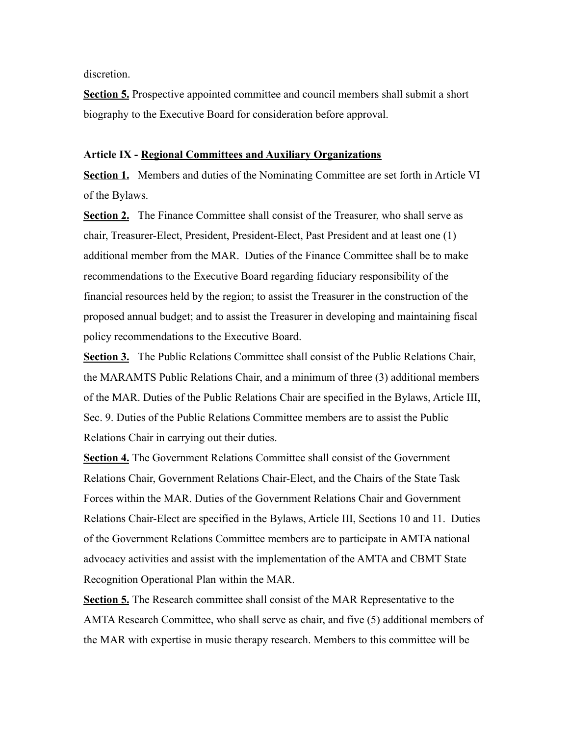discretion.

**Section 5.** Prospective appointed committee and council members shall submit a short biography to the Executive Board for consideration before approval.

#### **Article IX - Regional Committees and Auxiliary Organizations**

**Section 1.** Members and duties of the Nominating Committee are set forth in Article VI of the Bylaws.

**Section 2.** The Finance Committee shall consist of the Treasurer, who shall serve as chair, Treasurer-Elect, President, President-Elect, Past President and at least one (1) additional member from the MAR. Duties of the Finance Committee shall be to make recommendations to the Executive Board regarding fiduciary responsibility of the financial resources held by the region; to assist the Treasurer in the construction of the proposed annual budget; and to assist the Treasurer in developing and maintaining fiscal policy recommendations to the Executive Board.

**Section 3.** The Public Relations Committee shall consist of the Public Relations Chair, the MARAMTS Public Relations Chair, and a minimum of three (3) additional members of the MAR. Duties of the Public Relations Chair are specified in the Bylaws, Article III, Sec. 9. Duties of the Public Relations Committee members are to assist the Public Relations Chair in carrying out their duties.

**Section 4.** The Government Relations Committee shall consist of the Government Relations Chair, Government Relations Chair-Elect, and the Chairs of the State Task Forces within the MAR. Duties of the Government Relations Chair and Government Relations Chair-Elect are specified in the Bylaws, Article III, Sections 10 and 11. Duties of the Government Relations Committee members are to participate in AMTA national advocacy activities and assist with the implementation of the AMTA and CBMT State Recognition Operational Plan within the MAR.

**Section 5.** The Research committee shall consist of the MAR Representative to the AMTA Research Committee, who shall serve as chair, and five (5) additional members of the MAR with expertise in music therapy research. Members to this committee will be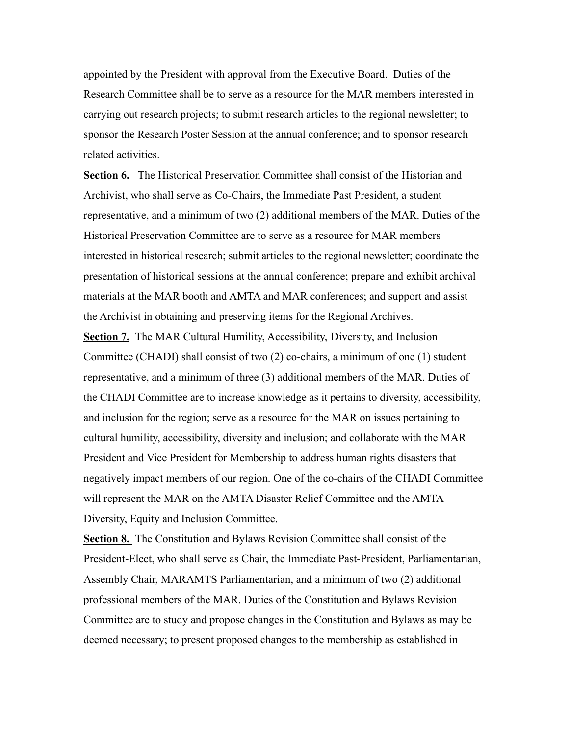appointed by the President with approval from the Executive Board. Duties of the Research Committee shall be to serve as a resource for the MAR members interested in carrying out research projects; to submit research articles to the regional newsletter; to sponsor the Research Poster Session at the annual conference; and to sponsor research related activities.

**Section 6.** The Historical Preservation Committee shall consist of the Historian and Archivist, who shall serve as Co-Chairs, the Immediate Past President, a student representative, and a minimum of two (2) additional members of the MAR. Duties of the Historical Preservation Committee are to serve as a resource for MAR members interested in historical research; submit articles to the regional newsletter; coordinate the presentation of historical sessions at the annual conference; prepare and exhibit archival materials at the MAR booth and AMTA and MAR conferences; and support and assist the Archivist in obtaining and preserving items for the Regional Archives.

**Section 7.** The MAR Cultural Humility, Accessibility, Diversity, and Inclusion Committee (CHADI) shall consist of two (2) co-chairs, a minimum of one (1) student representative, and a minimum of three (3) additional members of the MAR. Duties of the CHADI Committee are to increase knowledge as it pertains to diversity, accessibility, and inclusion for the region; serve as a resource for the MAR on issues pertaining to cultural humility, accessibility, diversity and inclusion; and collaborate with the MAR President and Vice President for Membership to address human rights disasters that negatively impact members of our region. One of the co-chairs of the CHADI Committee will represent the MAR on the AMTA Disaster Relief Committee and the AMTA Diversity, Equity and Inclusion Committee.

**Section 8.** The Constitution and Bylaws Revision Committee shall consist of the President-Elect, who shall serve as Chair, the Immediate Past-President, Parliamentarian, Assembly Chair, MARAMTS Parliamentarian, and a minimum of two (2) additional professional members of the MAR. Duties of the Constitution and Bylaws Revision Committee are to study and propose changes in the Constitution and Bylaws as may be deemed necessary; to present proposed changes to the membership as established in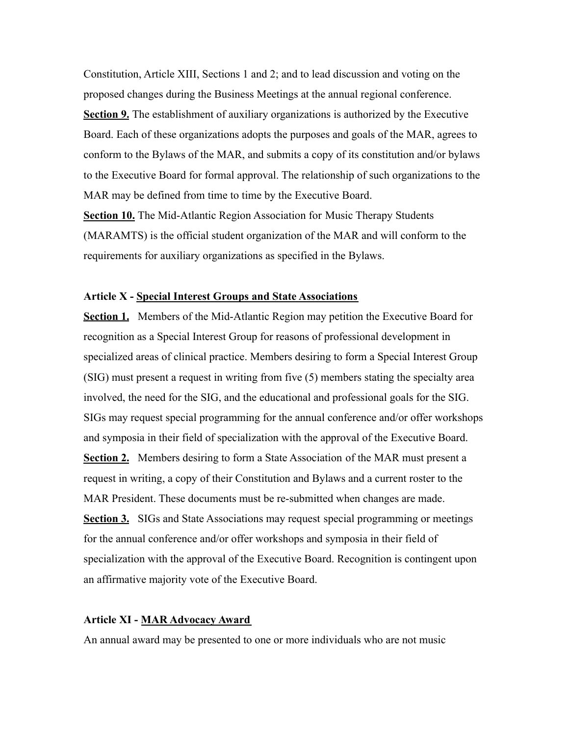Constitution, Article XIII, Sections 1 and 2; and to lead discussion and voting on the proposed changes during the Business Meetings at the annual regional conference. **Section 9.** The establishment of auxiliary organizations is authorized by the Executive Board. Each of these organizations adopts the purposes and goals of the MAR, agrees to conform to the Bylaws of the MAR, and submits a copy of its constitution and/or bylaws to the Executive Board for formal approval. The relationship of such organizations to the MAR may be defined from time to time by the Executive Board.

**Section 10.** The Mid-Atlantic Region Association for Music Therapy Students (MARAMTS) is the official student organization of the MAR and will conform to the requirements for auxiliary organizations as specified in the Bylaws.

# **Article X - Special Interest Groups and State Associations**

**Section 1.** Members of the Mid-Atlantic Region may petition the Executive Board for recognition as a Special Interest Group for reasons of professional development in specialized areas of clinical practice. Members desiring to form a Special Interest Group (SIG) must present a request in writing from five (5) members stating the specialty area involved, the need for the SIG, and the educational and professional goals for the SIG. SIGs may request special programming for the annual conference and/or offer workshops and symposia in their field of specialization with the approval of the Executive Board. **Section 2.** Members desiring to form a State Association of the MAR must present a request in writing, a copy of their Constitution and Bylaws and a current roster to the MAR President. These documents must be re-submitted when changes are made. **Section 3.** SIGs and State Associations may request special programming or meetings for the annual conference and/or offer workshops and symposia in their field of specialization with the approval of the Executive Board. Recognition is contingent upon an affirmative majority vote of the Executive Board.

#### **Article XI - MAR Advocacy Award**

An annual award may be presented to one or more individuals who are not music